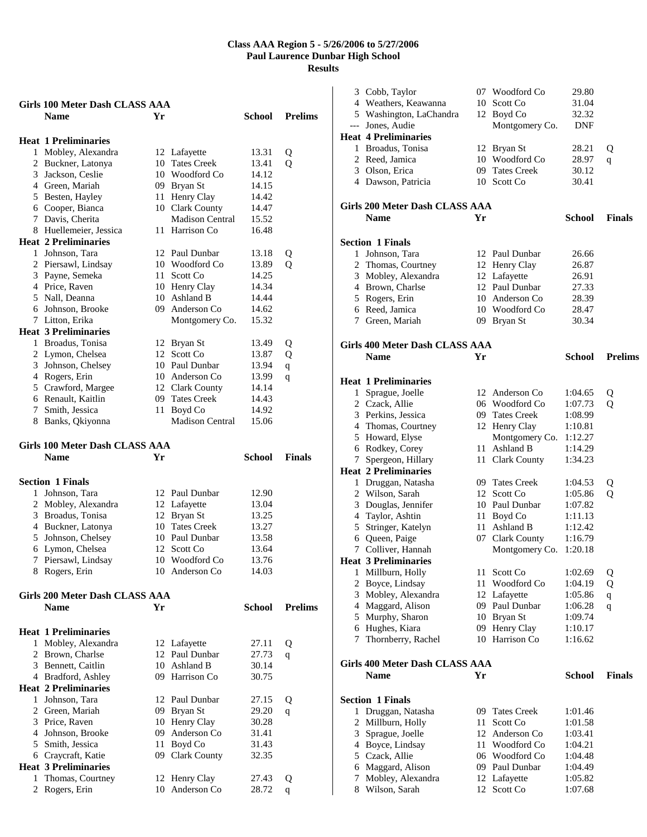|   | <b>Girls 100 Meter Dash CLASS AAA</b> |     |                                 |               |                |
|---|---------------------------------------|-----|---------------------------------|---------------|----------------|
|   | <b>Name</b>                           | Yr  |                                 | School        | <b>Prelims</b> |
|   |                                       |     |                                 |               |                |
|   | <b>Heat 1 Preliminaries</b>           |     |                                 |               |                |
|   | 1 Mobley, Alexandra                   |     | 12 Lafayette                    | 13.31         | Q              |
|   | 2 Buckner, Latonya                    | 10  | <b>Tates Creek</b>              | 13.41         | Q              |
|   | 3 Jackson, Ceslie                     |     | 10 Woodford Co                  | 14.12         |                |
|   | 4 Green, Mariah                       |     | 09 Bryan St                     | 14.15         |                |
|   | 5 Besten, Hayley                      |     | 11 Henry Clay                   | 14.42         |                |
|   | 6 Cooper, Bianca                      |     | 10 Clark County                 | 14.47         |                |
|   | 7 Davis, Cherita                      |     | Madison Central                 | 15.52         |                |
|   | 8 Huellemeier, Jessica                | 11- | Harrison Co                     | 16.48         |                |
|   | <b>Heat 2 Preliminaries</b>           |     |                                 |               |                |
|   | 1 Johnson, Tara                       |     | 12 Paul Dunbar                  | 13.18         | Q              |
|   | 2 Piersawl, Lindsay                   |     | 10 Woodford Co                  | 13.89         | Q              |
|   | 3 Payne, Semeka                       | 11  | Scott Co                        | 14.25         |                |
|   | 4 Price, Raven                        |     | 10 Henry Clay                   | 14.34         |                |
|   | 5 Nall, Deanna                        |     | 10 Ashland B                    | 14.44         |                |
|   | 6 Johnson, Brooke                     |     | 09 Anderson Co                  | 14.62         |                |
|   | 7 Litton, Erika                       |     | Montgomery Co.                  | 15.32         |                |
|   | <b>Heat 3 Preliminaries</b>           |     |                                 |               |                |
|   | 1 Broadus, Tonisa                     |     | 12 Bryan St                     | 13.49         | Q              |
|   | 2 Lymon, Chelsea                      | 12  | Scott Co                        | 13.87         | Q              |
|   | 3 Johnson, Chelsey                    |     | 10 Paul Dunbar                  | 13.94         |                |
|   | 4 Rogers, Erin                        |     | 10 Anderson Co                  | 13.99         | $\mathbf q$    |
|   | 5 Crawford, Margee                    |     | 12 Clark County                 | 14.14         | q              |
|   | 6 Renault, Kaitlin                    |     | 09 Tates Creek                  | 14.43         |                |
|   | 7 Smith, Jessica                      | 11  | Boyd Co                         | 14.92         |                |
|   | 8 Banks, Qkiyonna                     |     | <b>Madison Central</b>          | 15.06         |                |
|   |                                       |     |                                 |               |                |
|   | Girls 100 Meter Dash CLASS AAA        |     |                                 |               |                |
|   |                                       |     |                                 |               |                |
|   |                                       |     |                                 |               |                |
|   | <b>Name</b>                           | Yr  |                                 | School        | <b>Finals</b>  |
|   |                                       |     |                                 |               |                |
|   | <b>Section 1 Finals</b>               |     |                                 |               |                |
|   | 1 Johnson, Tara                       |     | 12 Paul Dunbar                  | 12.90         |                |
|   | 2 Mobley, Alexandra                   |     | 12 Lafayette                    | 13.04         |                |
|   | 3 Broadus, Tonisa                     |     | 12 Bryan St                     | 13.25         |                |
|   | 4 Buckner, Latonya                    |     | 10 Tates Creek                  | 13.27         |                |
|   | 5 Johnson, Chelsey                    |     | 10 Paul Dunbar                  | 13.58         |                |
|   | 6 Lymon, Chelsea                      |     | 12 Scott Co                     | 13.64         |                |
|   | 7 Piersawl, Lindsay                   |     | 10 Woodford Co                  | 13.76         |                |
|   | 8 Rogers, Erin                        |     | 10 Anderson Co                  | 14.03         |                |
|   |                                       |     |                                 |               |                |
|   | Girls 200 Meter Dash CLASS AAA        |     |                                 |               |                |
|   | <b>Name</b>                           | Yr  |                                 | <b>School</b> | <b>Prelims</b> |
|   |                                       |     |                                 |               |                |
|   | <b>Heat 1 Preliminaries</b>           |     |                                 |               |                |
|   | 1 Mobley, Alexandra                   |     | 12 Lafayette                    | 27.11         | Q              |
|   | 2 Brown, Charlse                      | 12  | Paul Dunbar                     | 27.73         | q              |
|   | 3 Bennett, Caitlin                    |     | 10 Ashland B                    | 30.14         |                |
|   | 4 Bradford, Ashley                    |     | 09 Harrison Co                  | 30.75         |                |
|   | <b>Heat 2 Preliminaries</b>           |     |                                 |               |                |
|   | 1 Johnson, Tara                       |     | 12 Paul Dunbar                  | 27.15         | Q              |
|   | 2 Green, Mariah                       |     | 09 Bryan St                     | 29.20         | q              |
|   | 3 Price, Raven                        |     | 10 Henry Clay                   | 30.28         |                |
|   | 4 Johnson, Brooke                     | 09  | Anderson Co                     | 31.41         |                |
|   | 5 Smith, Jessica                      | 11  | Boyd Co                         | 31.43         |                |
|   | 6 Craycraft, Katie                    | 09  | <b>Clark County</b>             | 32.35         |                |
|   | <b>Heat 3 Preliminaries</b>           |     |                                 |               |                |
| 1 | Thomas, Courtney                      |     | 12 Henry Clay<br>10 Anderson Co | 27.43         | Q              |

|   | 3 Cobb, Taylor                                   | 07   | Woodford Co        | 29.80         |                |
|---|--------------------------------------------------|------|--------------------|---------------|----------------|
|   | 4 Weathers, Keawanna                             | 10 - | Scott Co           | 31.04         |                |
|   | 5 Washington, LaChandra                          |      | 12 Boyd Co         | 32.32         |                |
|   | --- Jones, Audie                                 |      | Montgomery Co.     | <b>DNF</b>    |                |
|   | <b>Heat 4 Preliminaries</b>                      |      |                    |               |                |
|   | 1 Broadus, Tonisa                                |      | 12 Bryan St        | 28.21         | Q              |
|   | 2 Reed, Jamica                                   |      | 10 Woodford Co     | 28.97         | q              |
|   | 3 Olson, Erica                                   |      | 09 Tates Creek     | 30.12         |                |
|   | 4 Dawson, Patricia                               |      | 10 Scott Co        | 30.41         |                |
|   |                                                  |      |                    |               |                |
|   | Girls 200 Meter Dash CLASS AAA                   |      |                    |               |                |
|   |                                                  |      |                    | <b>School</b> |                |
|   | <b>Name</b>                                      | Yr   |                    |               | <b>Finals</b>  |
|   |                                                  |      |                    |               |                |
|   | <b>Section 1 Finals</b>                          |      |                    |               |                |
|   | 1 Johnson, Tara                                  |      | 12 Paul Dunbar     | 26.66         |                |
|   | 2 Thomas, Courtney                               |      | 12 Henry Clay      | 26.87         |                |
|   | 3 Mobley, Alexandra                              |      | 12 Lafayette       | 26.91         |                |
|   | 4 Brown, Charlse                                 |      | 12 Paul Dunbar     | 27.33         |                |
|   | 5 Rogers, Erin                                   |      | 10 Anderson Co     | 28.39         |                |
|   | 6 Reed, Jamica                                   |      | 10 Woodford Co     | 28.47         |                |
|   | 7 Green, Mariah                                  |      | 09 Bryan St        | 30.34         |                |
|   |                                                  |      |                    |               |                |
|   | Girls 400 Meter Dash CLASS AAA                   |      |                    |               |                |
|   | <b>Name</b>                                      | Yr   |                    | <b>School</b> | <b>Prelims</b> |
|   |                                                  |      |                    |               |                |
|   | <b>Heat 1 Preliminaries</b>                      |      |                    |               |                |
|   | 1 Sprague, Joelle                                |      | 12 Anderson Co     | 1:04.65       | Q              |
|   | 2 Czack, Allie                                   |      | 06 Woodford Co     | 1:07.73       | Q              |
|   | 3 Perkins, Jessica                               |      | 09 Tates Creek     | 1:08.99       |                |
|   | 4 Thomas, Courtney                               |      | 12 Henry Clay      | 1:10.81       |                |
|   | 5 Howard, Elyse                                  |      | Montgomery Co.     | 1:12.27       |                |
|   | 6 Rodkey, Corey                                  |      | 11 Ashland B       | 1:14.29       |                |
| 7 |                                                  |      |                    | 1:34.23       |                |
|   | Spergeon, Hillary<br><b>Heat 2 Preliminaries</b> |      | 11 Clark County    |               |                |
|   |                                                  |      |                    |               |                |
|   | 1 Druggan, Natasha                               |      | 09 Tates Creek     | 1:04.53       | Q              |
|   | 2 Wilson, Sarah                                  |      | 12 Scott Co        | 1:05.86       | Q              |
| 3 | Douglas, Jennifer                                |      | 10 Paul Dunbar     | 1:07.82       |                |
| 4 | Taylor, Ashtin                                   |      | 11 Boyd Co         | 1:11.13       |                |
| 5 | Stringer, Katelyn                                | 11   | Ashland B          | 1:12.42       |                |
|   | 6 Queen, Paige                                   |      | 07 Clark County    | 1:16.79       |                |
|   | 7 Colliver, Hannah                               |      | Montgomery Co.     | 1:20.18       |                |
|   | <b>Heat 3 Preliminaries</b>                      |      |                    |               |                |
| 1 | Millburn, Holly                                  | 11   | Scott Co           | 1:02.69       | Q              |
| 2 | Boyce, Lindsay                                   | 11   | Woodford Co        | 1:04.19       | Q              |
| 3 | Mobley, Alexandra                                |      | 12 Lafayette       | 1:05.86       | $\mathbf q$    |
| 4 | Maggard, Alison                                  |      | 09 Paul Dunbar     | 1:06.28       | $\mathbf{q}$   |
| 5 | Murphy, Sharon                                   |      | 10 Bryan St        | 1:09.74       |                |
| 6 | Hughes, Kiara                                    | 09   | Henry Clay         | 1:10.17       |                |
| 7 | Thornberry, Rachel                               |      | 10 Harrison Co     | 1:16.62       |                |
|   |                                                  |      |                    |               |                |
|   | Girls 400 Meter Dash CLASS AAA                   |      |                    |               |                |
|   | Name                                             | Yr   |                    | School        | Finals         |
|   |                                                  |      |                    |               |                |
|   | <b>Section 1 Finals</b>                          |      |                    |               |                |
| 1 | Druggan, Natasha                                 | 09-  | <b>Tates Creek</b> | 1:01.46       |                |
| 2 | Millburn, Holly                                  | 11-  | Scott Co           | 1:01.58       |                |
| 3 | Sprague, Joelle                                  |      | 12 Anderson Co     | 1:03.41       |                |
| 4 | Boyce, Lindsay                                   |      | 11 Woodford Co     | 1:04.21       |                |
|   | 5 Czack, Allie                                   |      | 06 Woodford Co     | 1:04.48       |                |
| 6 | Maggard, Alison                                  |      | 09 Paul Dunbar     | 1:04.49       |                |
| 7 | Mobley, Alexandra                                |      | 12 Lafayette       | 1:05.82       |                |
| 8 | Wilson, Sarah                                    |      | 12 Scott Co        | 1:07.68       |                |
|   |                                                  |      |                    |               |                |
|   |                                                  |      |                    |               |                |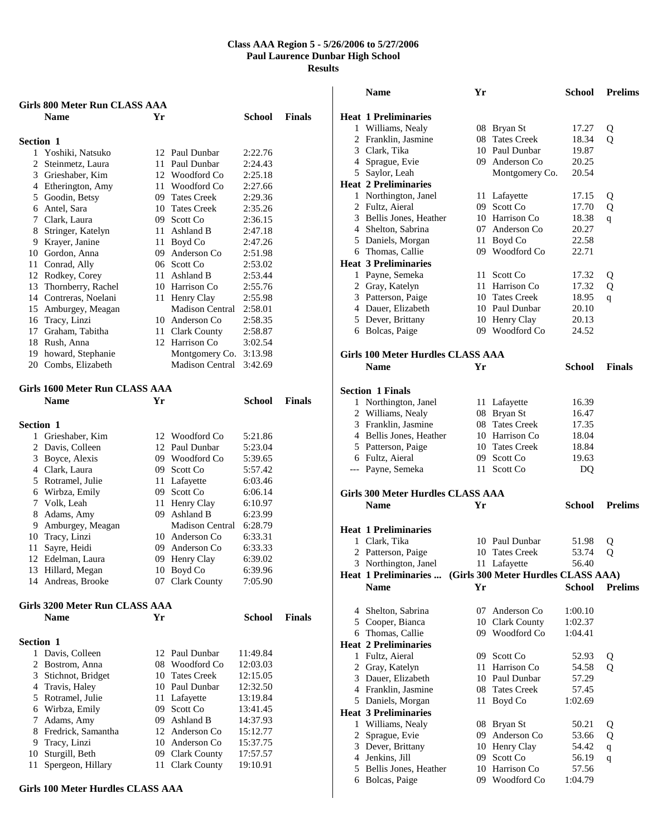|           | <b>Girls 800 Meter Run CLASS AAA</b>  |    |                        |          |               |
|-----------|---------------------------------------|----|------------------------|----------|---------------|
|           | <b>Name</b>                           | Yr |                        | School   | <b>Finals</b> |
| Section 1 |                                       |    |                        |          |               |
|           | 1 Yoshiki, Natsuko                    |    | 12 Paul Dunbar         | 2:22.76  |               |
|           | 2 Steinmetz, Laura                    |    | 11 Paul Dunbar         | 2:24.43  |               |
|           | 3 Grieshaber, Kim                     |    | 12 Woodford Co         | 2:25.18  |               |
|           | 4 Etherington, Amy                    |    | 11 Woodford Co         | 2:27.66  |               |
|           | 5 Goodin, Betsy                       |    | 09 Tates Creek         | 2:29.36  |               |
|           | 6 Antel, Sara                         |    | 10 Tates Creek         | 2:35.26  |               |
|           | 7 Clark, Laura                        |    | 09 Scott Co            | 2:36.15  |               |
|           | 8 Stringer, Katelyn                   |    | 11 Ashland B           | 2:47.18  |               |
|           | 9 Krayer, Janine                      |    | 11 Boyd Co             | 2:47.26  |               |
|           | 10 Gordon, Anna                       |    | 09 Anderson Co         | 2:51.98  |               |
| 11        | Conrad, Ally                          |    | 06 Scott Co            | 2:53.02  |               |
|           | 12 Rodkey, Corey                      |    | 11 Ashland B           | 2:53.44  |               |
| 13        | Thornberry, Rachel                    |    | 10 Harrison Co         | 2:55.76  |               |
|           | 14 Contreras, Noelani                 |    | 11 Henry Clay          | 2:55.98  |               |
|           | 15 Amburgey, Meagan                   |    | <b>Madison Central</b> | 2:58.01  |               |
|           | 16 Tracy, Linzi                       |    | 10 Anderson Co         | 2:58.35  |               |
|           | 17 Graham, Tabitha                    |    | 11 Clark County        | 2:58.87  |               |
|           | 18 Rush, Anna                         |    | 12 Harrison Co         | 3:02.54  |               |
|           | 19 howard, Stephanie                  |    | Montgomery Co.         | 3:13.98  |               |
|           | 20 Combs, Elizabeth                   |    | Madison Central        | 3:42.69  |               |
|           | Girls 1600 Meter Run CLASS AAA        |    |                        |          |               |
|           | <b>Name</b>                           | Yr |                        | School   | <b>Finals</b> |
| Section 1 |                                       |    |                        |          |               |
|           | 1 Grieshaber, Kim                     |    | 12 Woodford Co         | 5:21.86  |               |
|           | 2 Davis, Colleen                      |    | 12 Paul Dunbar         | 5:23.04  |               |
|           | 3 Boyce, Alexis                       |    | 09 Woodford Co         | 5:39.65  |               |
|           | 4 Clark, Laura                        |    | 09 Scott Co            | 5:57.42  |               |
|           | 5 Rotramel, Julie                     |    | 11 Lafayette           | 6:03.46  |               |
|           | 6 Wirbza, Emily                       |    | 09 Scott Co            | 6:06.14  |               |
|           | 7 Volk, Leah                          | 11 | Henry Clay             | 6:10.97  |               |
| 8         | Adams, Amy                            | 09 | Ashland B              | 6:23.99  |               |
|           | 9 Amburgey, Meagan                    |    | Madison Central        | 6:28.79  |               |
|           | 10 Tracy, Linzi                       |    | 10 Anderson Co         | 6:33.31  |               |
| 11        | Sayre, Heidi                          |    | 09 Anderson Co         | 6:33.33  |               |
| 12        | Edelman, Laura                        | 09 | Henry Clay             | 6:39.02  |               |
| 13        | Hillard, Megan                        | 10 | Boyd Co                | 6:39.96  |               |
|           | 14 Andreas, Brooke                    |    | 07 Clark County        | 7:05.90  |               |
|           | <b>Girls 3200 Meter Run CLASS AAA</b> |    |                        |          |               |
|           | <b>Name</b>                           | Yr |                        | School   | <b>Finals</b> |
| Section 1 |                                       |    |                        |          |               |
| 1         | Davis, Colleen                        |    | 12 Paul Dunbar         | 11:49.84 |               |
|           | 2 Bostrom, Anna                       | 08 | Woodford Co            | 12:03.03 |               |
| 3         | Stichnot, Bridget                     |    | 10 Tates Creek         | 12:15.05 |               |
|           | 4 Travis, Haley                       |    | 10 Paul Dunbar         | 12:32.50 |               |
|           | 5 Rotramel, Julie                     |    | 11 Lafayette           | 13:19.84 |               |
|           | 6 Wirbza, Emily                       |    | 09 Scott Co            | 13:41.45 |               |
| 7         | Adams, Amy                            |    | 09 Ashland B           | 14:37.93 |               |
| 8         | Fredrick, Samantha                    |    | 12 Anderson Co         | 15:12.77 |               |
| 9         | Tracy, Linzi                          |    | 10 Anderson Co         | 15:37.75 |               |
| 10        | Sturgill, Beth                        |    | 09 Clark County        | 17:57.57 |               |
| 11        | Spergeon, Hillary                     | 11 | Clark County           | 19:10.91 |               |

#### **Girls 100 Meter Hurdles CLASS AAA**

|                | <b>Name</b>                              | Yr   |                                     | <b>School</b>      | <b>Prelims</b> |
|----------------|------------------------------------------|------|-------------------------------------|--------------------|----------------|
|                |                                          |      |                                     |                    |                |
|                | <b>Heat 1 Preliminaries</b>              |      |                                     |                    |                |
|                | 1 Williams, Nealy                        |      | 08 Bryan St                         | 17.27              | Q              |
|                | 2 Franklin, Jasmine                      |      | 08 Tates Creek                      | 18.34              | Q              |
|                | 3 Clark, Tika                            |      | 10 Paul Dunbar                      | 19.87              |                |
|                | 4 Sprague, Evie                          |      | 09 Anderson Co                      | 20.25              |                |
|                | 5 Saylor, Leah                           |      | Montgomery Co.                      | 20.54              |                |
|                | <b>Heat 2 Preliminaries</b>              |      |                                     | 17.15              |                |
|                | 1 Northington, Janel<br>2 Fultz, Aieral  |      | 11 Lafayette<br>09 Scott Co         | 17.70              | Q<br>Q         |
|                | 3 Bellis Jones, Heather                  |      | 10 Harrison Co                      | 18.38              | q              |
|                | 4 Shelton, Sabrina                       |      | 07 Anderson Co                      | 20.27              |                |
|                | 5 Daniels, Morgan                        |      | 11 Boyd Co                          | 22.58              |                |
|                | 6 Thomas, Callie                         |      | 09 Woodford Co                      | 22.71              |                |
|                | <b>Heat 3 Preliminaries</b>              |      |                                     |                    |                |
|                | 1 Payne, Semeka                          |      | 11 Scott Co                         | 17.32              | Q              |
|                | 2 Gray, Katelyn                          |      | 11 Harrison Co                      | 17.32              | Q              |
|                | 3 Patterson, Paige                       |      | 10 Tates Creek                      | 18.95              | q              |
|                | 4 Dauer, Elizabeth                       |      | 10 Paul Dunbar                      | 20.10              |                |
|                | 5 Dever, Brittany                        |      | 10 Henry Clay                       | 20.13              |                |
|                | 6 Bolcas, Paige                          |      | 09 Woodford Co                      | 24.52              |                |
|                |                                          |      |                                     |                    |                |
|                | <b>Girls 100 Meter Hurdles CLASS AAA</b> |      |                                     |                    |                |
|                | <b>Name</b>                              | Yr   |                                     | <b>School</b>      | <b>Finals</b>  |
|                |                                          |      |                                     |                    |                |
|                | <b>Section 1 Finals</b>                  |      |                                     |                    |                |
|                | 1 Northington, Janel                     |      | 11 Lafayette                        | 16.39              |                |
|                | 2 Williams, Nealy                        |      | 08 Bryan St                         | 16.47              |                |
|                | 3 Franklin, Jasmine                      |      | 08 Tates Creek                      | 17.35              |                |
|                | 4 Bellis Jones, Heather                  |      | 10 Harrison Co                      | 18.04              |                |
|                | 5 Patterson, Paige                       |      | 10 Tates Creek                      | 18.84              |                |
|                | 6 Fultz, Aieral                          |      | 09 Scott Co                         | 19.63              |                |
|                | --- Payne, Semeka                        | 11 - | Scott Co                            | DQ                 |                |
|                |                                          |      |                                     |                    |                |
|                | <b>Girls 300 Meter Hurdles CLASS AAA</b> |      |                                     |                    |                |
|                | <b>Name</b>                              | Yr   |                                     | <b>School</b>      | <b>Prelims</b> |
|                |                                          |      |                                     |                    |                |
|                | <b>Heat 1 Preliminaries</b>              |      |                                     |                    |                |
|                | 1 Clark, Tika                            |      | 10 Paul Dunbar                      | 51.98              | Q              |
|                | 2 Patterson, Paige                       |      | 10 Tates Creek                      | 53.74              | Q              |
|                | 3 Northington, Janel                     |      | 11 Lafayette                        | 56.40              |                |
|                | <b>Heat 1 Preliminaries </b>             |      | (Girls 300 Meter Hurdles CLASS AAA) |                    | <b>Prelims</b> |
|                | <b>Name</b>                              | Yr   |                                     | <b>School</b>      |                |
|                |                                          |      | 07 Anderson Co                      |                    |                |
|                | 4 Shelton, Sabrina                       |      | 10 Clark County                     | 1:00.10            |                |
| 5              | Cooper, Bianca<br>6 Thomas, Callie       |      | 09 Woodford Co                      | 1:02.37<br>1:04.41 |                |
|                | <b>Heat 2 Preliminaries</b>              |      |                                     |                    |                |
|                | 1 Fultz, Aieral                          |      | 09 Scott Co                         | 52.93              |                |
| $\overline{2}$ | Gray, Katelyn                            |      | 11 Harrison Co                      | 54.58              | Q<br>Q         |
|                | 3 Dauer, Elizabeth                       |      | 10 Paul Dunbar                      | 57.29              |                |
|                | 4 Franklin, Jasmine                      |      | 08 Tates Creek                      | 57.45              |                |
|                | 5 Daniels, Morgan                        | 11   | Boyd Co                             | 1:02.69            |                |
|                | <b>Heat 3 Preliminaries</b>              |      |                                     |                    |                |
| 1              | Williams, Nealy                          | 08   | Bryan St                            | 50.21              | Q              |
| 2              | Sprague, Evie                            | 09   | Anderson Co                         | 53.66              | Q              |
|                | 3 Dever, Brittany                        |      | 10 Henry Clay                       | 54.42              | $\mathbf q$    |
|                | 4 Jenkins, Jill                          | 09   | Scott Co                            | 56.19              | q              |
| 5              | Bellis Jones, Heather                    |      | 10 Harrison Co                      | 57.56              |                |
| 6              | Bolcas, Paige                            | 09   | Woodford Co                         | 1:04.79            |                |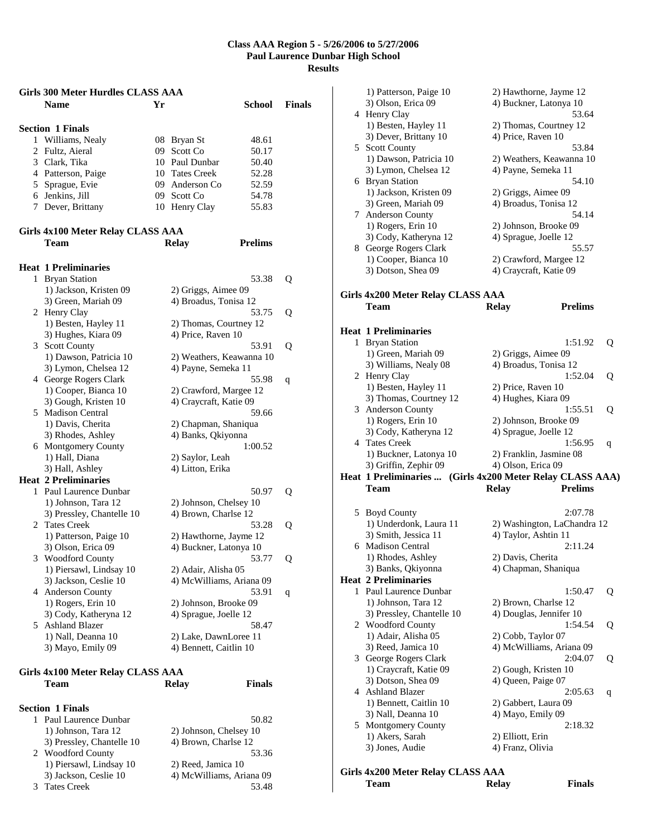| Girls 300 Meter Hurdles CLASS AAA |                                          |    |                          |                |               |
|-----------------------------------|------------------------------------------|----|--------------------------|----------------|---------------|
|                                   | <b>Name</b>                              | Yr |                          | School         | <b>Finals</b> |
|                                   |                                          |    |                          |                |               |
|                                   | <b>Section 1 Finals</b>                  |    |                          |                |               |
|                                   | 1 Williams, Nealy                        |    | 08 Bryan St              | 48.61          |               |
|                                   | 2 Fultz, Aieral                          |    | 09 Scott Co              | 50.17          |               |
|                                   | 3 Clark, Tika                            |    | 10 Paul Dunbar           | 50.40          |               |
|                                   | 4 Patterson, Paige                       |    | 10 Tates Creek           | 52.28          |               |
|                                   | 5 Sprague, Evie                          |    | 09 Anderson Co           | 52.59          |               |
|                                   | 6 Jenkins, Jill                          |    | 09 Scott Co              | 54.78          |               |
|                                   | 7 Dever, Brittany                        |    | 10 Henry Clay            | 55.83          |               |
|                                   | Girls 4x100 Meter Relay CLASS AAA        |    |                          |                |               |
|                                   | <b>Team</b>                              |    | <b>Relay</b>             | <b>Prelims</b> |               |
|                                   |                                          |    |                          |                |               |
|                                   | <b>Heat 1 Preliminaries</b>              |    |                          |                |               |
|                                   | 1 Bryan Station                          |    |                          | 53.38          | Q             |
|                                   | 1) Jackson, Kristen 09                   |    | 2) Griggs, Aimee 09      |                |               |
|                                   | 3) Green, Mariah 09                      |    | 4) Broadus, Tonisa 12    |                |               |
|                                   | 2 Henry Clay                             |    |                          | 53.75          | Q             |
|                                   | 1) Besten, Hayley 11                     |    | 2) Thomas, Courtney 12   |                |               |
|                                   | 3) Hughes, Kiara 09                      |    | 4) Price, Raven 10       |                |               |
|                                   | 3 Scott County                           |    |                          | 53.91          | Q             |
|                                   | 1) Dawson, Patricia 10                   |    | 2) Weathers, Keawanna 10 |                |               |
|                                   | 3) Lymon, Chelsea 12                     |    | 4) Payne, Semeka 11      |                |               |
|                                   | 4 George Rogers Clark                    |    |                          | 55.98          | q             |
|                                   | 1) Cooper, Bianca 10                     |    | 2) Crawford, Margee 12   |                |               |
|                                   | 3) Gough, Kristen 10                     |    | 4) Craycraft, Katie 09   |                |               |
|                                   | 5 Madison Central                        |    |                          | 59.66          |               |
|                                   | 1) Davis, Cherita                        |    | 2) Chapman, Shaniqua     |                |               |
|                                   | 3) Rhodes, Ashley                        |    | 4) Banks, Qkiyonna       |                |               |
|                                   | 6 Montgomery County                      |    |                          | 1:00.52        |               |
|                                   | 1) Hall, Diana                           |    |                          |                |               |
|                                   |                                          |    | 2) Saylor, Leah          |                |               |
|                                   | 3) Hall, Ashley                          |    | 4) Litton, Erika         |                |               |
|                                   | <b>Heat 2 Preliminaries</b>              |    |                          |                |               |
|                                   | 1 Paul Laurence Dunbar                   |    |                          | 50.97          | Q             |
|                                   | 1) Johnson, Tara 12                      |    | 2) Johnson, Chelsey 10   |                |               |
|                                   | 3) Pressley, Chantelle 10                |    | 4) Brown, Charlse 12     |                |               |
| 2                                 | <b>Tates Creek</b>                       |    |                          | 53.28          | Q             |
|                                   | 1) Patterson, Paige 10                   |    | 2) Hawthorne, Jayme 12   |                |               |
|                                   | 3) Olson, Erica 09                       |    | 4) Buckner, Latonya 10   |                |               |
|                                   | 3 Woodford County                        |    |                          | 53.77          | Q             |
|                                   | 1) Piersawl, Lindsay 10                  |    | 2) Adair, Alisha 05      |                |               |
|                                   | 3) Jackson, Ceslie 10                    |    | 4) McWilliams, Ariana 09 |                |               |
|                                   | 4 Anderson County                        |    |                          | 53.91          | q             |
|                                   | 1) Rogers, Erin 10                       |    | 2) Johnson, Brooke 09    |                |               |
|                                   | 3) Cody, Katheryna 12                    |    | 4) Sprague, Joelle 12    |                |               |
|                                   | 5 Ashland Blazer                         |    |                          | 58.47          |               |
|                                   | 1) Nall, Deanna 10                       |    | 2) Lake, DawnLoree 11    |                |               |
|                                   | 3) Mayo, Emily 09                        |    | 4) Bennett, Caitlin 10   |                |               |
|                                   |                                          |    |                          |                |               |
|                                   | <b>Girls 4x100 Meter Relay CLASS AAA</b> |    |                          |                |               |
|                                   | Team                                     |    | <b>Relay</b>             | <b>Finals</b>  |               |
|                                   |                                          |    |                          |                |               |
|                                   | <b>Section 1 Finals</b>                  |    |                          |                |               |
| 1                                 | Paul Laurence Dunbar                     |    |                          | 50.82          |               |
|                                   | 1) Johnson, Tara 12                      |    | 2) Johnson, Chelsey 10   |                |               |

3) Pressley, Chantelle 10 4) Brown, Charlse 12 2 Woodford County 53.36 1) Piersawl, Lindsay 10 2) Reed, Jamica 10 3) Jackson, Ceslie 10 4) McWilliams, Ariana 09 3 Tates Creek 53.48

|   | 1) Patterson, Paige 10<br>3) Olson, Erica 09              | 4) Buckner, Latonya 10                        | 2) Hawthorne, Jayme 12      |   |
|---|-----------------------------------------------------------|-----------------------------------------------|-----------------------------|---|
|   | 4 Henry Clay                                              |                                               | 53.64                       |   |
|   | 1) Besten, Hayley 11                                      |                                               | 2) Thomas, Courtney 12      |   |
|   | 3) Dever, Brittany 10                                     | 4) Price, Raven 10                            |                             |   |
|   | 5 Scott County                                            |                                               | 53.84                       |   |
|   | 1) Dawson, Patricia 10<br>3) Lymon, Chelsea 12            | 4) Payne, Semeka 11                           | 2) Weathers, Keawanna 10    |   |
|   | 6 Bryan Station                                           |                                               | 54.10                       |   |
|   | 1) Jackson, Kristen 09                                    | 2) Griggs, Aimee 09                           |                             |   |
|   | 3) Green, Mariah 09                                       | 4) Broadus, Tonisa 12                         |                             |   |
|   | 7 Anderson County                                         |                                               | 54.14                       |   |
|   | 1) Rogers, Erin 10                                        | 2) Johnson, Brooke 09                         |                             |   |
|   | 3) Cody, Katheryna 12                                     | 4) Sprague, Joelle 12                         |                             |   |
| 8 | George Rogers Clark                                       |                                               | 55.57                       |   |
|   | 1) Cooper, Bianca 10                                      |                                               | 2) Crawford, Margee 12      |   |
|   | 3) Dotson, Shea 09                                        | 4) Craycraft, Katie 09                        |                             |   |
|   | Girls 4x200 Meter Relay CLASS AAA<br><b>Team</b>          | <b>Relay</b>                                  | <b>Prelims</b>              |   |
|   |                                                           |                                               |                             |   |
|   | <b>Heat 1 Preliminaries</b>                               |                                               |                             |   |
|   | 1 Bryan Station                                           |                                               | 1:51.92                     | Q |
|   | 1) Green, Mariah 09                                       | 2) Griggs, Aimee 09                           |                             |   |
|   | 3) Williams, Nealy 08                                     | 4) Broadus, Tonisa 12                         |                             |   |
|   | 2 Henry Clay                                              |                                               | 1:52.04                     | Q |
|   | 1) Besten, Hayley 11<br>3) Thomas, Courtney 12            | 2) Price, Raven 10<br>4) Hughes, Kiara 09     |                             |   |
| 3 | Anderson County                                           |                                               | 1:55.51                     | Q |
|   | 1) Rogers, Erin 10                                        | 2) Johnson, Brooke 09                         |                             |   |
|   | 3) Cody, Katheryna 12                                     | 4) Sprague, Joelle 12                         |                             |   |
|   | 4 Tates Creek                                             |                                               | 1:56.95                     | q |
|   |                                                           |                                               |                             |   |
|   |                                                           |                                               |                             |   |
|   | 1) Buckner, Latonya 10<br>3) Griffin, Zephir 09           | 2) Franklin, Jasmine 08<br>4) Olson, Erica 09 |                             |   |
|   | Heat 1 Preliminaries  (Girls 4x200 Meter Relay CLASS AAA) |                                               |                             |   |
|   | <b>Team</b>                                               | <b>Relay</b>                                  | <b>Prelims</b>              |   |
|   |                                                           |                                               | 2:07.78                     |   |
|   | 5 Boyd County<br>1) Underdonk, Laura 11                   |                                               | 2) Washington, LaChandra 12 |   |
|   | 3) Smith, Jessica 11                                      | 4) Taylor, Ashtin 11                          |                             |   |
| 6 | <b>Madison Central</b>                                    |                                               | 2:11.24                     |   |
|   | 1) Rhodes, Ashley                                         | 2) Davis, Cherita                             |                             |   |
|   | 3) Banks, Qkiyonna                                        | 4) Chapman, Shaniqua                          |                             |   |
|   | <b>Heat 2 Preliminaries</b>                               |                                               |                             |   |
| 1 | Paul Laurence Dunbar                                      |                                               | 1:50.47                     | Q |
|   | 1) Johnson, Tara 12                                       | 2) Brown, Charlse 12                          |                             |   |
|   | 3) Pressley, Chantelle 10                                 | 4) Douglas, Jennifer 10                       |                             |   |
|   | 2 Woodford County                                         |                                               | 1:54.54                     | Q |
|   | 1) Adair, Alisha 05                                       | 2) Cobb, Taylor 07                            | 4) McWilliams, Ariana 09    |   |
| 3 | 3) Reed, Jamica 10<br>George Rogers Clark                 |                                               | 2:04.07                     | Q |
|   | 1) Craycraft, Katie 09                                    | 2) Gough, Kristen 10                          |                             |   |
|   | 3) Dotson, Shea 09                                        | 4) Queen, Paige 07                            |                             |   |
| 4 | <b>Ashland Blazer</b>                                     |                                               | 2:05.63                     | q |
|   | 1) Bennett, Caitlin 10                                    | 2) Gabbert, Laura 09                          |                             |   |
|   | 3) Nall, Deanna 10                                        | 4) Mayo, Emily 09                             |                             |   |
|   | 5 Montgomery County                                       |                                               | 2:18.32                     |   |
|   | 1) Akers, Sarah                                           | 2) Elliott, Erin                              |                             |   |
|   | 3) Jones, Audie                                           | 4) Franz, Olivia                              |                             |   |
|   | Girls 4x200 Meter Relay CLASS AAA                         |                                               |                             |   |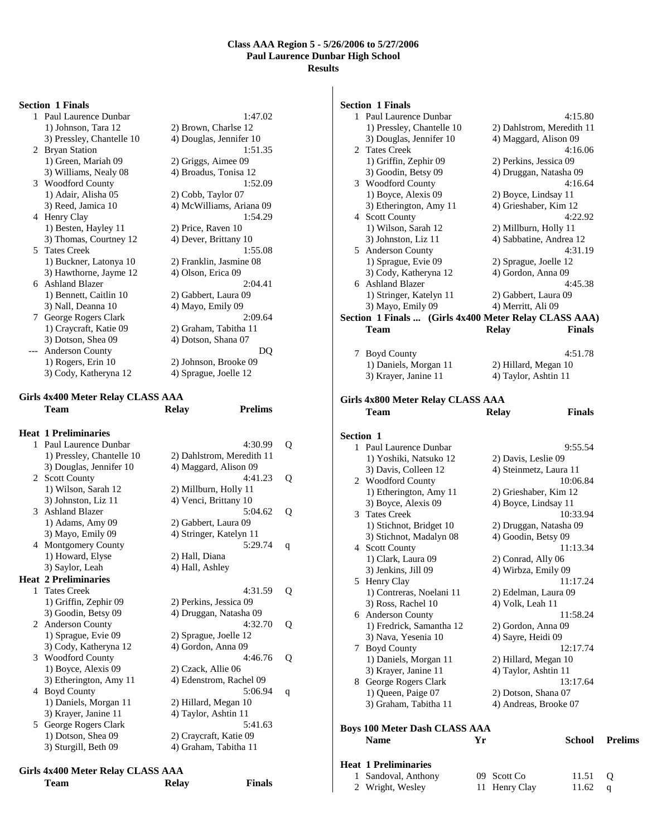#### **Section 1 Finals**

| 1  | Paul Laurence Dunbar      | 1:47.02                  |
|----|---------------------------|--------------------------|
|    | 1) Johnson, Tara 12       | 2) Brown, Charlse 12     |
|    | 3) Pressley, Chantelle 10 | 4) Douglas, Jennifer 10  |
| 2  | <b>Bryan Station</b>      | 1:51.35                  |
|    | 1) Green, Mariah 09       | 2) Griggs, Aimee 09      |
|    | 3) Williams, Nealy 08     | 4) Broadus, Tonisa 12    |
|    | 3 Woodford County         | 1:52.09                  |
|    | 1) Adair, Alisha 05       | 2) Cobb, Taylor 07       |
|    | 3) Reed, Jamica 10        | 4) McWilliams, Ariana 09 |
| 4  | Henry Clay                | 1:54.29                  |
|    | 1) Besten, Hayley 11      | 2) Price, Raven 10       |
|    | 3) Thomas, Courtney 12    | 4) Dever, Brittany 10    |
| 5. | <b>Tates Creek</b>        | 1:55.08                  |
|    | 1) Buckner, Latonya 10    | 2) Franklin, Jasmine 08  |
|    | 3) Hawthorne, Jayme 12    | 4) Olson, Erica 09       |
| 6. | <b>Ashland Blazer</b>     | 2:04.41                  |
|    | 1) Bennett, Caitlin 10    | 2) Gabbert, Laura 09     |
|    | 3) Nall, Deanna 10        | 4) Mayo, Emily 09        |
| 7  | George Rogers Clark       | 2:09.64                  |
|    | 1) Craycraft, Katie 09    | 2) Graham, Tabitha 11    |
|    | 3) Dotson, Shea 09        | 4) Dotson, Shana 07      |
|    | <b>Anderson County</b>    | DO                       |
|    | 1) Rogers, Erin 10        | 2) Johnson, Brooke 09    |
|    | 3) Cody, Katheryna 12     | 4) Sprague, Joelle 12    |

# **Girls 4x400 Meter Relay CLASS AAA**

|   | <b>Heat 1 Preliminaries</b> |                           |              |
|---|-----------------------------|---------------------------|--------------|
|   | 1 Paul Laurence Dunbar      | 4:30.99                   | Q            |
|   | 1) Pressley, Chantelle 10   | 2) Dahlstrom, Meredith 11 |              |
|   | 3) Douglas, Jennifer 10     | 4) Maggard, Alison 09     |              |
|   | 2 Scott County              | 4:41.23                   | Q            |
|   | 1) Wilson, Sarah 12         | 2) Millburn, Holly 11     |              |
|   | 3) Johnston, Liz 11         | 4) Venci, Brittany 10     |              |
|   | 3 Ashland Blazer            | 5:04.62                   | Q            |
|   | 1) Adams, Amy 09            | 2) Gabbert, Laura 09      |              |
|   | 3) Mayo, Emily 09           | 4) Stringer, Katelyn 11   |              |
|   | 4 Montgomery County         | 5:29.74                   | q            |
|   | 1) Howard, Elyse            | 2) Hall, Diana            |              |
|   | 3) Saylor, Leah             | 4) Hall, Ashley           |              |
|   | <b>Heat 2 Preliminaries</b> |                           |              |
|   | 1 Tates Creek               | 4:31.59                   | O            |
|   | 1) Griffin, Zephir 09       | 2) Perkins, Jessica 09    |              |
|   | 3) Goodin, Betsy 09         | 4) Druggan, Natasha 09    |              |
|   | 2 Anderson County           | 4:32.70                   | O            |
|   | 1) Sprague, Evie 09         | 2) Sprague, Joelle 12     |              |
|   | 3) Cody, Katheryna 12       | 4) Gordon, Anna 09        |              |
|   | 3 Woodford County           | 4:46.76                   | Q            |
|   | 1) Boyce, Alexis 09         | 2) Czack, Allie 06        |              |
|   | 3) Etherington, Amy 11      | 4) Edenstrom, Rachel 09   |              |
| 4 | <b>Boyd County</b>          | 5:06.94                   | $\mathsf{q}$ |
|   | 1) Daniels, Morgan 11       | 2) Hillard, Megan 10      |              |
|   | 3) Krayer, Janine 11        | 4) Taylor, Ashtin 11      |              |
|   | 5 George Rogers Clark       | 5:41.63                   |              |
|   | 1) Dotson, Shea 09          | 2) Craycraft, Katie 09    |              |
|   | 3) Sturgill, Beth 09        | 4) Graham, Tabitha 11     |              |
|   |                             |                           |              |

**Prelims** 

**Finals** 

|      | Girls 4x400 Meter Relay CLASS AAA |
|------|-----------------------------------|
| Team | Relay                             |

|               | <b>Section 1 Finals</b>                               |                               |  |
|---------------|-------------------------------------------------------|-------------------------------|--|
|               | 1 Paul Laurence Dunbar                                | 4:15.80                       |  |
|               | 1) Pressley, Chantelle 10                             | 2) Dahlstrom, Meredith 11     |  |
|               | 3) Douglas, Jennifer 10                               | 4) Maggard, Alison 09         |  |
| 2             | <b>Tates Creek</b>                                    | 4:16.06                       |  |
|               |                                                       | 2) Perkins, Jessica 09        |  |
|               | 1) Griffin, Zephir 09                                 |                               |  |
|               | 3) Goodin, Betsy 09                                   | 4) Druggan, Natasha 09        |  |
|               | 3 Woodford County                                     | 4:16.64                       |  |
|               | 1) Boyce, Alexis 09                                   | 2) Boyce, Lindsay 11          |  |
|               | 3) Etherington, Amy 11                                | 4) Grieshaber, Kim 12         |  |
|               | 4 Scott County                                        | 4:22.92                       |  |
|               | 1) Wilson, Sarah 12                                   | 2) Millburn, Holly 11         |  |
|               | 3) Johnston, Liz 11                                   | 4) Sabbatine, Andrea 12       |  |
|               | 5 Anderson County                                     | 4:31.19                       |  |
|               | 1) Sprague, Evie 09                                   | 2) Sprague, Joelle 12         |  |
|               | 3) Cody, Katheryna 12                                 | 4) Gordon, Anna 09            |  |
|               | 6 Ashland Blazer                                      | 4:45.38                       |  |
|               | 1) Stringer, Katelyn 11                               | 2) Gabbert, Laura 09          |  |
|               | 3) Mayo, Emily 09                                     | 4) Merritt, Ali 09            |  |
|               | Section 1 Finals  (Girls 4x400 Meter Relay CLASS AAA) |                               |  |
|               |                                                       |                               |  |
|               | Team                                                  | <b>Relay</b><br><b>Finals</b> |  |
|               |                                                       |                               |  |
|               | 7 Boyd County                                         | 4:51.78                       |  |
|               | 1) Daniels, Morgan 11                                 | 2) Hillard, Megan 10          |  |
|               | 3) Krayer, Janine 11                                  | 4) Taylor, Ashtin 11          |  |
|               |                                                       |                               |  |
|               | Girls 4x800 Meter Relay CLASS AAA                     |                               |  |
|               | Team                                                  | <b>Finals</b><br><b>Relay</b> |  |
|               |                                                       |                               |  |
|               |                                                       |                               |  |
|               |                                                       |                               |  |
| Section 1     |                                                       |                               |  |
|               | 1 Paul Laurence Dunbar                                | 9:55.54                       |  |
|               | 1) Yoshiki, Natsuko 12                                | 2) Davis, Leslie 09           |  |
|               | 3) Davis, Colleen 12                                  | 4) Steinmetz, Laura 11        |  |
|               | 2 Woodford County                                     | 10:06.84                      |  |
|               |                                                       |                               |  |
|               | 1) Etherington, Amy 11                                | 2) Grieshaber, Kim 12         |  |
|               | 3) Boyce, Alexis 09                                   | 4) Boyce, Lindsay 11          |  |
|               | 3 Tates Creek                                         | 10:33.94                      |  |
|               | 1) Stichnot, Bridget 10                               | 2) Druggan, Natasha 09        |  |
|               | 3) Stichnot, Madalyn 08                               | 4) Goodin, Betsy 09           |  |
|               | 4 Scott County                                        | 11:13.34                      |  |
|               | 1) Clark, Laura 09                                    | 2) Conrad, Ally 06            |  |
|               | 3) Jenkins, Jill 09                                   | 4) Wirbza, Emily 09           |  |
|               | 5 Henry Clay                                          | 11:17.24                      |  |
|               | 1) Contreras, Noelani 11                              | 2) Edelman, Laura 09          |  |
|               | 3) Ross, Rachel 10                                    | 4) Volk, Leah 11              |  |
|               | 6 Anderson County                                     | 11:58.24                      |  |
|               | 1) Fredrick, Samantha 12                              | 2) Gordon, Anna 09            |  |
|               | 3) Nava, Yesenia 10                                   | 4) Sayre, Heidi 09            |  |
| $\mathcal{T}$ | <b>Boyd County</b>                                    | 12:17.74                      |  |
|               | 1) Daniels, Morgan 11                                 | 2) Hillard, Megan 10          |  |
|               | 3) Krayer, Janine 11                                  | 4) Taylor, Ashtin 11          |  |
|               |                                                       | 13:17.64                      |  |
|               | 8 George Rogers Clark                                 |                               |  |
|               | 1) Queen, Paige 07                                    | 2) Dotson, Shana 07           |  |
|               | 3) Graham, Tabitha 11                                 | 4) Andreas, Brooke 07         |  |
|               |                                                       |                               |  |
|               | <b>Boys 100 Meter Dash CLASS AAA</b>                  |                               |  |
|               | <b>Name</b><br>Yr                                     | School                        |  |

| <b>Heat 1 Preliminaries</b> |             |                 |  |
|-----------------------------|-------------|-----------------|--|
| 1 Sandoval, Anthony         | 09 Scott Co | $11.51 \quad O$ |  |
|                             |             |                 |  |

|                  | ---------     | -----     |  |
|------------------|---------------|-----------|--|
| 2 Wright, Wesley | 11 Henry Clay | 11.62 $q$ |  |

**Prelims**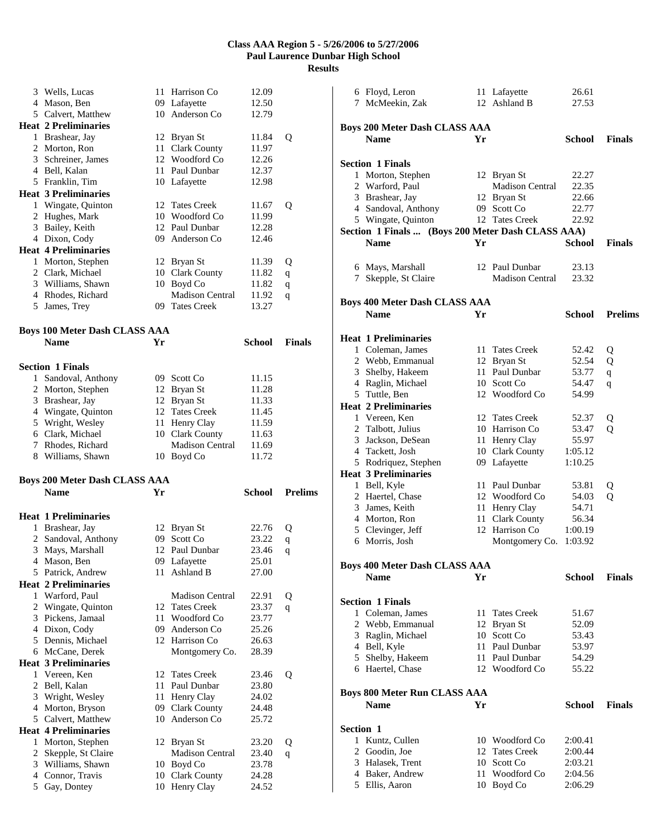|              | 3 Wells, Lucas                       | 11  | Harrison Co                      | 12.09          |                |
|--------------|--------------------------------------|-----|----------------------------------|----------------|----------------|
|              | 4 Mason, Ben                         |     | 09 Lafayette                     | 12.50          |                |
|              | 5 Calvert, Matthew                   |     | 10 Anderson Co                   | 12.79          |                |
|              | <b>Heat 2 Preliminaries</b>          |     |                                  |                |                |
|              |                                      |     |                                  |                |                |
|              | 1 Brashear, Jay                      |     | 12 Bryan St                      | 11.84          | Q              |
|              | 2 Morton, Ron                        | 11  | <b>Clark County</b>              | 11.97          |                |
|              | 3 Schreiner, James                   |     | 12 Woodford Co                   | 12.26          |                |
|              | 4 Bell, Kalan                        |     | 11 Paul Dunbar                   | 12.37          |                |
|              | 5 Franklin, Tim                      |     | 10 Lafayette                     | 12.98          |                |
|              | <b>Heat 3 Preliminaries</b>          |     |                                  |                |                |
|              | 1 Wingate, Quinton                   |     | 12 Tates Creek                   | 11.67          | Q              |
|              | 2 Hughes, Mark                       |     | 10 Woodford Co                   | 11.99          |                |
|              | 3 Bailey, Keith                      |     | 12 Paul Dunbar                   | 12.28          |                |
|              | 4 Dixon, Cody                        |     | 09 Anderson Co                   | 12.46          |                |
|              | <b>Heat 4 Preliminaries</b>          |     |                                  |                |                |
|              |                                      |     |                                  |                |                |
|              | 1 Morton, Stephen                    |     | 12 Bryan St                      | 11.39          | Q              |
|              | 2 Clark, Michael                     |     | 10 Clark County                  | 11.82          | q              |
|              | 3 Williams, Shawn                    |     | 10 Boyd Co                       | 11.82          | $\mathbf q$    |
|              | 4 Rhodes, Richard                    |     | <b>Madison Central</b>           | 11.92          | q              |
|              | 5 James, Trey                        |     | 09 Tates Creek                   | 13.27          |                |
|              |                                      |     |                                  |                |                |
|              | <b>Boys 100 Meter Dash CLASS AAA</b> |     |                                  |                |                |
|              | <b>Name</b>                          | Yr  |                                  | <b>School</b>  | <b>Finals</b>  |
|              |                                      |     |                                  |                |                |
|              | <b>Section 1 Finals</b>              |     |                                  |                |                |
| $\mathbf{1}$ | Sandoval, Anthony                    | 09. | Scott Co                         | 11.15          |                |
|              | 2 Morton, Stephen                    | 12  | Bryan St                         | 11.28          |                |
|              | 3 Brashear, Jay                      |     | 12 Bryan St                      | 11.33          |                |
|              | 4 Wingate, Quinton                   |     | 12 Tates Creek                   | 11.45          |                |
|              | 5 Wright, Wesley                     | 11  | Henry Clay                       | 11.59          |                |
|              | 6 Clark, Michael                     |     | 10 Clark County                  | 11.63          |                |
|              | 7 Rhodes, Richard                    |     | <b>Madison Central</b>           | 11.69          |                |
|              |                                      |     |                                  |                |                |
|              |                                      |     |                                  |                |                |
|              | 8 Williams, Shawn                    |     | 10 Boyd Co                       | 11.72          |                |
|              |                                      |     |                                  |                |                |
|              | <b>Boys 200 Meter Dash CLASS AAA</b> |     |                                  |                |                |
|              | <b>Name</b>                          | Yr  |                                  | School         | <b>Prelims</b> |
|              |                                      |     |                                  |                |                |
|              | <b>Heat 1 Preliminaries</b>          |     |                                  |                |                |
|              | 1 Brashear, Jay                      |     | 12 Bryan St                      | 22.76          | Q              |
|              | 2 Sandoval, Anthony                  |     | 09 Scott Co                      | 23.22          | q              |
| 3            | Mays, Marshall                       |     | 12 Paul Dunbar                   | 23.46          | q              |
| 4            | Mason, Ben                           | 09  | Lafayette                        | 25.01          |                |
|              | 5 Patrick, Andrew                    | 11  | Ashland B                        | 27.00          |                |
|              | <b>Heat 2 Preliminaries</b>          |     |                                  |                |                |
|              | 1 Warford, Paul                      |     | <b>Madison Central</b>           | 22.91          | Q              |
|              | 2 Wingate, Quinton                   | 12  | <b>Tates Creek</b>               | 23.37          | q              |
|              | 3 Pickens, Jamaal                    | 11  | Woodford Co                      | 23.77          |                |
|              | 4 Dixon, Cody                        | 09  | Anderson Co                      | 25.26          |                |
|              | 5 Dennis, Michael                    |     | 12 Harrison Co                   | 26.63          |                |
|              | 6 McCane, Derek                      |     |                                  | 28.39          |                |
|              |                                      |     | Montgomery Co.                   |                |                |
|              | <b>Heat 3 Preliminaries</b>          | 12  | <b>Tates Creek</b>               |                |                |
|              | 1 Vereen, Ken                        | 11  | Paul Dunbar                      | 23.46          | Q              |
|              | 2 Bell, Kalan                        |     |                                  | 23.80          |                |
|              | 3 Wright, Wesley                     | 11  | Henry Clay                       | 24.02          |                |
|              | 4 Morton, Bryson                     | 09  | <b>Clark County</b>              | 24.48          |                |
|              | 5 Calvert, Matthew                   | 10  | Anderson Co                      | 25.72          |                |
|              | <b>Heat 4 Preliminaries</b>          |     |                                  |                |                |
|              | 1 Morton, Stephen                    |     | 12 Bryan St                      | 23.20          | Q              |
|              | 2 Skepple, St Claire                 |     | <b>Madison Central</b>           | 23.40          | q              |
|              | 3 Williams, Shawn                    |     | 10 Boyd Co                       | 23.78          |                |
|              | 4 Connor, Travis<br>5 Gay, Dontey    |     | 10 Clark County<br>10 Henry Clay | 24.28<br>24.52 |                |

| 6 Floyd, Leron              |                                      |    | 11 Lafayette                                      | 26.61   |                |
|-----------------------------|--------------------------------------|----|---------------------------------------------------|---------|----------------|
| 7 McMeekin, Zak             |                                      |    | 12 Ashland B                                      | 27.53   |                |
|                             |                                      |    |                                                   |         |                |
|                             | <b>Boys 200 Meter Dash CLASS AAA</b> |    |                                                   |         |                |
| <b>Name</b>                 |                                      | Yr |                                                   | School  | <b>Finals</b>  |
|                             |                                      |    |                                                   |         |                |
| <b>Section 1 Finals</b>     |                                      |    |                                                   |         |                |
| 1 Morton, Stephen           |                                      |    | 12 Bryan St                                       | 22.27   |                |
| 2 Warford, Paul             |                                      |    | <b>Madison Central</b>                            | 22.35   |                |
| 3 Brashear, Jay             |                                      |    | 12 Bryan St                                       | 22.66   |                |
|                             | 4 Sandoval, Anthony                  |    | 09 Scott Co                                       | 22.77   |                |
|                             | 5 Wingate, Quinton                   |    | 12 Tates Creek                                    | 22.92   |                |
|                             |                                      |    | Section 1 Finals  (Boys 200 Meter Dash CLASS AAA) |         |                |
| <b>Name</b>                 |                                      | Yr |                                                   | School  | <b>Finals</b>  |
|                             |                                      |    |                                                   |         |                |
| 6 Mays, Marshall            |                                      |    | 12 Paul Dunbar                                    | 23.13   |                |
|                             | 7 Skepple, St Claire                 |    | <b>Madison Central</b>                            | 23.32   |                |
|                             |                                      |    |                                                   |         |                |
|                             | <b>Boys 400 Meter Dash CLASS AAA</b> |    |                                                   |         |                |
| <b>Name</b>                 |                                      | Yr |                                                   | School  | <b>Prelims</b> |
|                             |                                      |    |                                                   |         |                |
| <b>Heat 1 Preliminaries</b> |                                      |    |                                                   |         |                |
| 1 Coleman, James            |                                      |    | 11 Tates Creek                                    | 52.42   | Q              |
|                             | 2 Webb, Emmanual                     |    | 12 Bryan St                                       | 52.54   | Q              |
| 3 Shelby, Hakeem            |                                      |    | 11 Paul Dunbar                                    | 53.77   | $\mathbf q$    |
| 4 Raglin, Michael           |                                      |    | 10 Scott Co                                       | 54.47   | q              |
| 5 Tuttle, Ben               |                                      |    | 12 Woodford Co                                    | 54.99   |                |
| <b>Heat 2 Preliminaries</b> |                                      |    |                                                   |         |                |
| 1 Vereen, Ken               |                                      |    | 12 Tates Creek                                    | 52.37   | Q              |
| 2 Talbott, Julius           |                                      |    | 10 Harrison Co                                    | 53.47   | Q              |
| 3 Jackson, DeSean           |                                      |    | 11 Henry Clay                                     | 55.97   |                |
| 4 Tackett, Josh             |                                      |    | 10 Clark County                                   | 1:05.12 |                |
|                             | 5 Rodriquez, Stephen                 |    | 09 Lafayette                                      | 1:10.25 |                |
| <b>Heat 3 Preliminaries</b> |                                      |    |                                                   |         |                |
| 1 Bell, Kyle                |                                      |    | 11 Paul Dunbar                                    | 53.81   | Q              |
| 2 Haertel, Chase            |                                      |    | 12 Woodford Co                                    | 54.03   | Q              |
| 3 James, Keith              |                                      |    | 11 Henry Clay                                     | 54.71   |                |
| 4 Morton, Ron               |                                      |    | 11 Clark County                                   | 56.34   |                |
| 5 Clevinger, Jeff           |                                      |    | 12 Harrison Co                                    | 1:00.19 |                |
| Morris, Josh<br>6           |                                      |    | Montgomery Co.                                    | 1:03.92 |                |
|                             |                                      |    |                                                   |         |                |
|                             | <b>Boys 400 Meter Dash CLASS AAA</b> |    |                                                   |         |                |
| <b>Name</b>                 |                                      | Yr |                                                   | School  | <b>Finals</b>  |
|                             |                                      |    |                                                   |         |                |
| <b>Section 1 Finals</b>     |                                      |    |                                                   |         |                |
| 1 Coleman, James            |                                      | 11 | <b>Tates Creek</b>                                | 51.67   |                |
|                             | 2 Webb, Emmanual                     |    | 12 Bryan St                                       | 52.09   |                |
| 3 Raglin, Michael           |                                      |    | 10 Scott Co                                       | 53.43   |                |
| 4 Bell, Kyle                |                                      |    | 11 Paul Dunbar                                    | 53.97   |                |
| 5 Shelby, Hakeem            |                                      |    | 11 Paul Dunbar                                    | 54.29   |                |
| 6 Haertel, Chase            |                                      |    | 12 Woodford Co                                    | 55.22   |                |
|                             |                                      |    |                                                   |         |                |
|                             | <b>Boys 800 Meter Run CLASS AAA</b>  |    |                                                   |         |                |
| <b>Name</b>                 |                                      | Yr |                                                   | School  | <b>Finals</b>  |
|                             |                                      |    |                                                   |         |                |
| Section 1                   |                                      |    |                                                   |         |                |
| Kuntz, Cullen<br>1          |                                      |    | 10 Woodford Co                                    | 2:00.41 |                |
| 2 Goodin, Joe               |                                      |    | 12 Tates Creek                                    | 2:00.44 |                |
| 3 Halasek, Trent            |                                      |    | 10 Scott Co                                       | 2:03.21 |                |
| 4 Baker, Andrew             |                                      |    | 11 Woodford Co                                    | 2:04.56 |                |
| 5 Ellis, Aaron              |                                      |    | 10 Boyd Co                                        | 2:06.29 |                |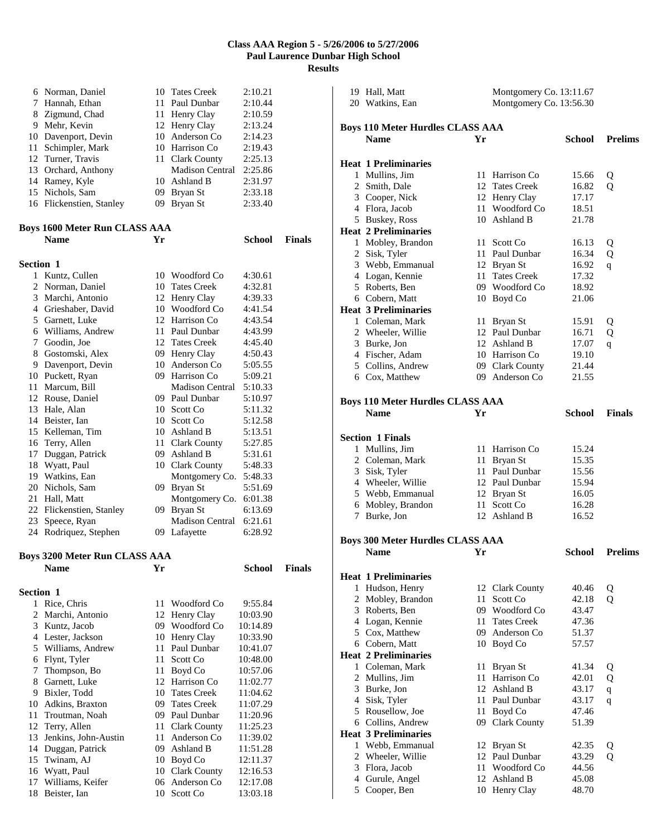|           | 6 Norman, Daniel                        |      | 10 Tates Creek                        | 2:10.21              |               |
|-----------|-----------------------------------------|------|---------------------------------------|----------------------|---------------|
|           | 7 Hannah, Ethan                         |      | 11 Paul Dunbar                        | 2:10.44              |               |
|           | 8 Zigmund, Chad                         |      | 11 Henry Clay                         | 2:10.59              |               |
|           | 9 Mehr, Kevin                           |      | 12 Henry Clay                         | 2:13.24              |               |
|           | 10 Davenport, Devin                     |      | 10 Anderson Co                        | 2:14.23              |               |
|           | 11 Schimpler, Mark                      |      | 10 Harrison Co                        | 2:19.43              |               |
|           | 12 Turner, Travis                       |      | 11 Clark County                       | 2:25.13              |               |
|           | 13 Orchard, Anthony                     |      | <b>Madison Central</b>                | 2:25.86              |               |
|           | 14 Ramey, Kyle                          |      | 10 Ashland B                          | 2:31.97              |               |
|           | 15 Nichols, Sam                         |      | 09 Bryan St                           | 2:33.18              |               |
|           | 16 Flickenstien, Stanley                |      | 09 Bryan St                           | 2:33.40              |               |
|           |                                         |      |                                       |                      |               |
|           | <b>Boys 1600 Meter Run CLASS AAA</b>    |      |                                       |                      |               |
|           | <b>Name</b>                             | Yr   |                                       | <b>School</b>        | <b>Finals</b> |
| Section 1 |                                         |      |                                       |                      |               |
|           | 1 Kuntz, Cullen                         |      | 10 Woodford Co                        | 4:30.61              |               |
|           | 2 Norman, Daniel                        |      | 10 Tates Creek                        | 4:32.81              |               |
|           | 3 Marchi, Antonio                       |      | 12 Henry Clay                         | 4:39.33              |               |
|           | 4 Grieshaber, David                     |      | 10 Woodford Co                        | 4:41.54              |               |
|           | 5 Garnett, Luke                         |      | 12 Harrison Co                        | 4:43.54              |               |
|           | 6 Williams, Andrew                      |      | 11 Paul Dunbar                        | 4:43.99              |               |
|           | 7 Goodin, Joe                           |      | 12 Tates Creek                        | 4:45.40              |               |
|           | 8 Gostomski, Alex                       |      | 09 Henry Clay                         | 4:50.43              |               |
|           | 9 Davenport, Devin                      |      | 10 Anderson Co                        | 5:05.55              |               |
|           | 10 Puckett, Ryan                        |      | 09 Harrison Co                        | 5:09.21              |               |
|           | 11 Marcum, Bill                         |      | <b>Madison Central</b>                | 5:10.33              |               |
|           | 12 Rouse, Daniel                        |      | 09 Paul Dunbar                        | 5:10.97              |               |
|           | 13 Hale, Alan                           |      | 10 Scott Co                           | 5:11.32              |               |
|           | 14 Beister, Ian                         |      | 10 Scott Co                           | 5:12.58              |               |
|           | 15 Kelleman, Tim                        |      | 10 Ashland B                          | 5:13.51              |               |
|           | 16 Terry, Allen                         |      | 11 Clark County                       | 5:27.85              |               |
|           | 17 Duggan, Patrick                      |      | 09 Ashland B                          | 5:31.61              |               |
|           | 18 Wyatt, Paul                          |      | 10 Clark County                       | 5:48.33              |               |
|           | 19 Watkins, Ean                         |      | Montgomery Co.                        | 5:48.33              |               |
|           | 20 Nichols, Sam                         | 09   | Bryan St                              | 5:51.69              |               |
|           | 21 Hall, Matt                           |      | Montgomery Co.                        | 6:01.38              |               |
|           | 22 Flickenstien, Stanley                | 09   | Bryan St                              | 6:13.69              |               |
|           | 23 Speece, Ryan                         |      | Madison Central                       | 6:21.61              |               |
|           | 24 Rodriquez, Stephen                   |      | 09 Lafayette                          | 6:28.92              |               |
|           |                                         |      |                                       |                      |               |
|           | <b>Boys 3200 Meter Run CLASS AAA</b>    |      |                                       |                      |               |
|           | <b>Name</b>                             | Yr   |                                       | <b>School</b>        | <b>Finals</b> |
|           |                                         |      |                                       |                      |               |
| Section 1 | 1 Rice, Chris                           |      | 11 Woodford Co                        | 9:55.84              |               |
| 2         | Marchi, Antonio                         |      |                                       |                      |               |
|           | 3 Kuntz, Jacob                          | 12   | Henry Clay<br>09 Woodford Co          | 10:03.90             |               |
|           |                                         |      |                                       | 10:14.89             |               |
|           | 4 Lester, Jackson<br>5 Williams, Andrew |      | 10 Henry Clay<br>11 Paul Dunbar       | 10:33.90<br>10:41.07 |               |
|           |                                         | 11 - | Scott Co                              | 10:48.00             |               |
|           | 6 Flynt, Tyler<br>Thompson, Bo          | 11-  | Boyd Co                               | 10:57.06             |               |
| 7         |                                         |      |                                       |                      |               |
| 8         | Garnett, Luke<br>9 Bixler, Todd         | 12   | Harrison Co<br>10 Tates Creek         | 11:02.77<br>11:04.62 |               |
|           | 10 Adkins, Braxton                      | 09   | <b>Tates Creek</b>                    | 11:07.29             |               |
| 11        | Troutman, Noah                          |      | 09 Paul Dunbar                        | 11:20.96             |               |
| 12        |                                         | 11   |                                       | 11:25.23             |               |
| 13        | Terry, Allen<br>Jenkins, John-Austin    |      | <b>Clark County</b><br>11 Anderson Co | 11:39.02             |               |
|           | 14 Duggan, Patrick                      |      | 09 Ashland B                          | 11:51.28             |               |
|           | 15 Twinam, AJ                           |      | 10 Boyd Co                            | 12:11.37             |               |
|           | 16 Wyatt, Paul                          |      | 10 Clark County                       | 12:16.53             |               |
|           | 17 Williams, Keifer                     |      | 06 Anderson Co                        | 12:17.08             |               |
| 18        | Beister, Ian                            |      | 10 Scott Co                           | 13:03.18             |               |
|           |                                         |      |                                       |                      |               |

| 19 Hall, Matt<br>20 Watkins, Ean                       |      | Montgomery Co. 13:11.67<br>Montgomery Co. 13:56.30 |                |                |  |
|--------------------------------------------------------|------|----------------------------------------------------|----------------|----------------|--|
|                                                        |      |                                                    |                |                |  |
| <b>Boys 110 Meter Hurdles CLASS AAA</b><br><b>Name</b> | Yr   |                                                    | School         | <b>Prelims</b> |  |
|                                                        |      |                                                    |                |                |  |
| <b>Heat 1 Preliminaries</b>                            |      |                                                    |                |                |  |
| 1 Mullins, Jim                                         | 11   | Harrison Co                                        | 15.66          | Q              |  |
| 2 Smith, Dale                                          | 12   | <b>Tates Creek</b>                                 | 16.82          | $\mathbf Q$    |  |
| 3 Cooper, Nick                                         |      | 12 Henry Clay                                      | 17.17          |                |  |
| 4 Flora, Jacob                                         |      | 11 Woodford Co                                     | 18.51          |                |  |
| 5 Buskey, Ross                                         |      | 10 Ashland B                                       | 21.78          |                |  |
| <b>Heat 2 Preliminaries</b>                            |      |                                                    |                |                |  |
| 1 Mobley, Brandon                                      |      | 11 Scott Co                                        | 16.13          | Q              |  |
| 2 Sisk, Tyler                                          |      | 11 Paul Dunbar                                     | 16.34          | Q              |  |
| 3 Webb, Emmanual                                       |      | 12 Bryan St                                        | 16.92          | q              |  |
| 4 Logan, Kennie<br>5 Roberts, Ben                      |      | 11 Tates Creek<br>09 Woodford Co                   | 17.32          |                |  |
| 6 Cobern, Matt                                         |      | 10 Boyd Co                                         | 18.92<br>21.06 |                |  |
| <b>Heat 3 Preliminaries</b>                            |      |                                                    |                |                |  |
| 1 Coleman, Mark                                        | 11   | Bryan St                                           | 15.91          | Q              |  |
| 2 Wheeler, Willie                                      |      | 12 Paul Dunbar                                     | 16.71          | Q              |  |
| 3 Burke, Jon                                           |      | 12 Ashland B                                       | 17.07          | q              |  |
| 4 Fischer, Adam                                        |      | 10 Harrison Co                                     | 19.10          |                |  |
| 5 Collins, Andrew                                      |      | 09 Clark County                                    | 21.44          |                |  |
| 6 Cox, Matthew                                         |      | 09 Anderson Co                                     | 21.55          |                |  |
|                                                        |      |                                                    |                |                |  |
| <b>Boys 110 Meter Hurdles CLASS AAA</b>                |      |                                                    |                |                |  |
| <b>Name</b>                                            | Yr   |                                                    | <b>School</b>  | <b>Finals</b>  |  |
|                                                        |      |                                                    |                |                |  |
| <b>Section 1 Finals</b>                                |      |                                                    |                |                |  |
| 1 Mullins, Jim                                         |      | 11 Harrison Co                                     | 15.24          |                |  |
| 2 Coleman, Mark                                        | 11   | Bryan St                                           | 15.35          |                |  |
| 3 Sisk, Tyler                                          |      | 11 Paul Dunbar                                     | 15.56          |                |  |
| 4 Wheeler, Willie                                      |      | 12 Paul Dunbar                                     | 15.94          |                |  |
| 5 Webb, Emmanual                                       |      | 12 Bryan St                                        | 16.05          |                |  |
| 6 Mobley, Brandon                                      |      | 11 Scott Co                                        | 16.28          |                |  |
| 7 Burke, Jon                                           |      | 12 Ashland B                                       | 16.52          |                |  |
|                                                        |      |                                                    |                |                |  |
| <b>Boys 300 Meter Hurdles CLASS AAA</b>                |      |                                                    |                |                |  |
| <b>Name</b>                                            | Yr   |                                                    | School         | <b>Prelims</b> |  |
|                                                        |      |                                                    |                |                |  |
| <b>Heat 1 Preliminaries</b>                            |      |                                                    |                |                |  |
| 1 Hudson, Henry<br>2 Mobley, Brandon                   | 11   | 12 Clark County<br>Scott Co                        | 40.46<br>42.18 | Q<br>Q         |  |
| 3 Roberts, Ben                                         |      | 09 Woodford Co                                     | 43.47          |                |  |
| 4 Logan, Kennie                                        |      | 11 Tates Creek                                     | 47.36          |                |  |
| 5 Cox, Matthew                                         |      | 09 Anderson Co                                     | 51.37          |                |  |
| 6 Cobern, Matt                                         |      | 10 Boyd Co                                         | 57.57          |                |  |
| <b>Heat 2 Preliminaries</b>                            |      |                                                    |                |                |  |
| 1 Coleman, Mark                                        |      | 11 Bryan St                                        | 41.34          | Q              |  |
| 2 Mullins, Jim                                         | 11 - | Harrison Co                                        | 42.01          | Q              |  |
| 3 Burke, Jon                                           |      | 12 Ashland B                                       | 43.17          | $\mathbf q$    |  |
| 4 Sisk, Tyler                                          |      | 11 Paul Dunbar                                     | 43.17          | q              |  |
| 5 Rousellow, Joe                                       | 11   | Boyd Co                                            | 47.46          |                |  |
| 6 Collins, Andrew                                      |      | 09 Clark County                                    | 51.39          |                |  |
| <b>Heat 3 Preliminaries</b>                            |      |                                                    |                |                |  |
| 1 Webb, Emmanual                                       | 12   | Bryan St                                           | 42.35          | Q              |  |
| 2 Wheeler, Willie                                      | 12   | Paul Dunbar                                        | 43.29          | $\overline{O}$ |  |
| 3 Flora, Jacob                                         |      | 11 Woodford Co                                     | 44.56          |                |  |
| 4 Gurule, Angel                                        |      | 12 Ashland B                                       | 45.08          |                |  |
| 5 Cooper, Ben                                          |      | 10 Henry Clay                                      | 48.70          |                |  |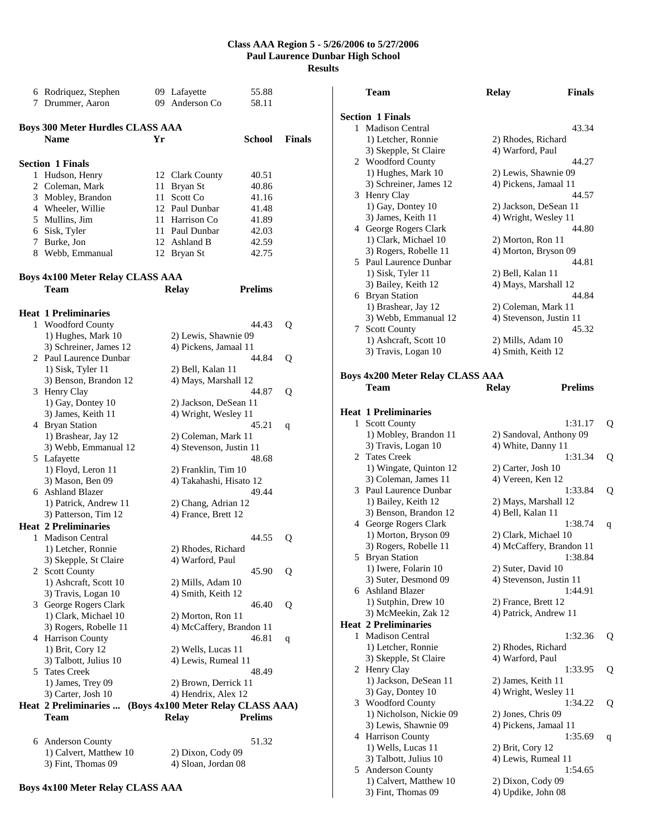|   | 6 Rodriquez, Stephen                    |    | 09 Lafayette                       | 55.88          |               |
|---|-----------------------------------------|----|------------------------------------|----------------|---------------|
|   |                                         |    | 09 Anderson Co                     |                |               |
|   | 7 Drummer, Aaron                        |    |                                    | 58.11          |               |
|   |                                         |    |                                    |                |               |
|   | <b>Boys 300 Meter Hurdles CLASS AAA</b> |    |                                    |                |               |
|   |                                         |    |                                    |                |               |
|   | <b>Name</b>                             | Yr |                                    | School         | <b>Finals</b> |
|   |                                         |    |                                    |                |               |
|   | <b>Section 1 Finals</b>                 |    |                                    |                |               |
|   |                                         |    |                                    |                |               |
|   | 1 Hudson, Henry                         |    | 12 Clark County                    | 40.51          |               |
|   | 2 Coleman, Mark                         | 11 | Bryan St                           | 40.86          |               |
|   | 3 Mobley, Brandon                       |    | 11 Scott Co                        | 41.16          |               |
|   | 4 Wheeler, Willie                       |    | 12 Paul Dunbar                     | 41.48          |               |
|   |                                         |    |                                    |                |               |
|   | 5 Mullins, Jim                          |    | 11 Harrison Co                     | 41.89          |               |
|   | 6 Sisk, Tyler                           |    | 11 Paul Dunbar                     | 42.03          |               |
|   | 7 Burke, Jon                            |    | 12 Ashland B                       | 42.59          |               |
|   | 8 Webb, Emmanual                        |    |                                    |                |               |
|   |                                         |    | 12 Bryan St                        | 42.75          |               |
|   |                                         |    |                                    |                |               |
|   | <b>Boys 4x100 Meter Relay CLASS AAA</b> |    |                                    |                |               |
|   |                                         |    |                                    |                |               |
|   | Team                                    |    | <b>Relay</b>                       | <b>Prelims</b> |               |
|   |                                         |    |                                    |                |               |
|   | <b>Heat 1 Preliminaries</b>             |    |                                    |                |               |
|   |                                         |    |                                    |                |               |
|   | 1 Woodford County                       |    |                                    | 44.43          | Q             |
|   | 1) Hughes, Mark 10                      |    | 2) Lewis, Shawnie 09               |                |               |
|   | 3) Schreiner, James 12                  |    | 4) Pickens, Jamaal 11              |                |               |
|   | 2 Paul Laurence Dunbar                  |    |                                    | 44.84          | Q             |
|   |                                         |    |                                    |                |               |
|   | 1) Sisk, Tyler 11                       |    | 2) Bell, Kalan 11                  |                |               |
|   | 3) Benson, Brandon 12                   |    | 4) Mays, Marshall 12               |                |               |
|   | 3 Henry Clay                            |    |                                    | 44.87          | Q             |
|   | 1) Gay, Dontey 10                       |    |                                    |                |               |
|   |                                         |    | 2) Jackson, DeSean 11              |                |               |
|   | 3) James, Keith 11                      |    | 4) Wright, Wesley 11               |                |               |
|   | 4 Bryan Station                         |    |                                    | 45.21          | q             |
|   | 1) Brashear, Jay 12                     |    | 2) Coleman, Mark 11                |                |               |
|   |                                         |    |                                    |                |               |
|   | 3) Webb, Emmanual 12                    |    | 4) Stevenson, Justin 11            |                |               |
|   | 5 Lafayette                             |    |                                    | 48.68          |               |
|   | 1) Floyd, Leron 11                      |    | 2) Franklin, Tim 10                |                |               |
|   | 3) Mason, Ben 09                        |    | 4) Takahashi, Hisato 12            |                |               |
|   | 6 Ashland Blazer                        |    |                                    | 49.44          |               |
|   |                                         |    |                                    |                |               |
|   | 1) Patrick, Andrew 11                   |    | 2) Chang, Adrian 12                |                |               |
|   | 3) Patterson, Tim 12                    |    | 4) France, Brett 12                |                |               |
|   | <b>Heat 2 Preliminaries</b>             |    |                                    |                |               |
| 1 | Madison Central                         |    |                                    | 44.55          |               |
|   |                                         |    |                                    |                | Q             |
|   | 1) Letcher, Ronnie                      |    | 2) Rhodes, Richard                 |                |               |
|   | 3) Skepple, St Claire                   |    | 4) Warford, Paul                   |                |               |
|   | 2 Scott County                          |    |                                    | 45.90          | Q             |
|   | 1) Ashcraft, Scott 10                   |    | 2) Mills, Adam 10                  |                |               |
|   |                                         |    |                                    |                |               |
|   | 3) Travis, Logan 10                     |    | 4) Smith, Keith 12                 |                |               |
|   | 3 George Rogers Clark                   |    |                                    | 46.40          | Q             |
|   | 1) Clark, Michael 10                    |    | 2) Morton, Ron 11                  |                |               |
|   | 3) Rogers, Robelle 11                   |    | 4) McCaffery, Brandon 11           |                |               |
|   |                                         |    |                                    |                |               |
|   | 4 Harrison County                       |    |                                    | 46.81          | q             |
|   | 1) Brit, Cory 12                        |    | 2) Wells, Lucas 11                 |                |               |
|   | 3) Talbott, Julius 10                   |    | 4) Lewis, Rumeal 11                |                |               |
|   |                                         |    |                                    |                |               |
|   | 5 Tates Creek                           |    |                                    | 48.49          |               |
|   | 1) James, Trey 09                       |    | 2) Brown, Derrick 11               |                |               |
|   | 3) Carter, Josh 10                      |    | 4) Hendrix, Alex 12                |                |               |
|   | Heat 2 Preliminaries                    |    | (Boys 4x100 Meter Relay CLASS AAA) |                |               |
|   |                                         |    |                                    |                |               |
|   | Team                                    |    | <b>Relay</b>                       | <b>Prelims</b> |               |
|   |                                         |    |                                    |                |               |
|   | 6 Anderson County                       |    |                                    | 51.32          |               |
|   |                                         |    |                                    |                |               |
|   | 1) Calvert, Matthew 10                  |    | 2) Dixon, Cody 09                  |                |               |
|   | 3) Fint, Thomas 09                      |    | 4) Sloan, Jordan 08                |                |               |

|   | Team                                                  | <b>Relay</b>             | <b>Finals</b>  |   |
|---|-------------------------------------------------------|--------------------------|----------------|---|
|   | <b>Section 1 Finals</b>                               |                          |                |   |
|   | 1 Madison Central                                     |                          | 43.34          |   |
|   | 1) Letcher, Ronnie                                    | 2) Rhodes, Richard       |                |   |
|   | 3) Skepple, St Claire                                 | 4) Warford, Paul         |                |   |
|   | 2 Woodford County                                     |                          | 44.27          |   |
|   | 1) Hughes, Mark 10                                    | 2) Lewis, Shawnie 09     |                |   |
|   | 3) Schreiner, James 12                                | 4) Pickens, Jamaal 11    |                |   |
|   | 3 Henry Clay                                          |                          | 44.57          |   |
|   | 1) Gay, Dontey 10                                     | 2) Jackson, DeSean 11    |                |   |
|   | 3) James, Keith 11                                    | 4) Wright, Wesley 11     |                |   |
|   | 4 George Rogers Clark                                 |                          | 44.80          |   |
|   | 1) Clark, Michael 10                                  | 2) Morton, Ron 11        |                |   |
|   | 3) Rogers, Robelle 11<br>5 Paul Laurence Dunbar       | 4) Morton, Bryson 09     | 44.81          |   |
|   | 1) Sisk, Tyler 11                                     | 2) Bell, Kalan 11        |                |   |
|   | 3) Bailey, Keith 12                                   | 4) Mays, Marshall 12     |                |   |
|   | 6 Bryan Station                                       |                          | 44.84          |   |
|   | 1) Brashear, Jay 12                                   | 2) Coleman, Mark 11      |                |   |
|   | 3) Webb, Emmanual 12                                  | 4) Stevenson, Justin 11  |                |   |
|   | 7 Scott County                                        |                          | 45.32          |   |
|   | 1) Ashcraft, Scott 10                                 | 2) Mills, Adam 10        |                |   |
|   | 3) Travis, Logan 10                                   | 4) Smith, Keith 12       |                |   |
|   | <b>Boys 4x200 Meter Relay CLASS AAA</b>               |                          |                |   |
|   | Team                                                  | <b>Relay</b>             | <b>Prelims</b> |   |
|   |                                                       |                          |                |   |
|   | <b>Heat 1 Preliminaries</b>                           |                          |                |   |
|   | 1 Scott County                                        |                          | 1:31.17        | Q |
|   | 1) Mobley, Brandon 11                                 | 2) Sandoval, Anthony 09  |                |   |
|   | 3) Travis, Logan 10                                   | 4) White, Danny 11       |                |   |
|   | 2 Tates Creek                                         |                          | 1:31.34        | Q |
|   | 1) Wingate, Quinton 12                                | 2) Carter, Josh 10       |                |   |
|   | 3) Coleman, James 11<br>3 Paul Laurence Dunbar        | 4) Vereen, Ken 12        | 1:33.84        |   |
|   | 1) Bailey, Keith 12                                   | 2) Mays, Marshall 12     |                | Q |
|   | 3) Benson, Brandon 12                                 | 4) Bell, Kalan 11        |                |   |
|   | 4 George Rogers Clark                                 |                          | 1:38.74        | q |
|   | 1) Morton, Bryson 09                                  | 2) Clark, Michael 10     |                |   |
|   | 3) Rogers, Robelle 11                                 | 4) McCaffery, Brandon 11 |                |   |
|   | 5 Bryan Station                                       |                          | 1:38.84        |   |
|   | 1) Iwere, Folarin 10                                  | 2) Suter, David 10       |                |   |
|   | 3) Suter, Desmond 09                                  | 4) Stevenson, Justin 11  |                |   |
|   | 6 Ashland Blazer                                      |                          | 1:44.91        |   |
|   | 1) Sutphin, Drew 10                                   | 2) France, Brett 12      |                |   |
|   | 3) McMeekin, Zak 12                                   | 4) Patrick, Andrew 11    |                |   |
| 1 | <b>Heat 2 Preliminaries</b><br><b>Madison Central</b> |                          | 1:32.36        |   |
|   | 1) Letcher, Ronnie                                    | 2) Rhodes, Richard       |                | Q |
|   | 3) Skepple, St Claire                                 | 4) Warford, Paul         |                |   |
|   | 2 Henry Clay                                          |                          | 1:33.95        | Q |
|   | 1) Jackson, DeSean 11                                 | 2) James, Keith 11       |                |   |
|   | 3) Gay, Dontey 10                                     | 4) Wright, Wesley 11     |                |   |
|   | 3 Woodford County                                     |                          | 1:34.22        | Q |
|   | 1) Nicholson, Nickie 09                               | 2) Jones, Chris 09       |                |   |
|   | 3) Lewis, Shawnie 09                                  | 4) Pickens, Jamaal 11    |                |   |
|   | 4 Harrison County                                     |                          | 1:35.69        | q |
|   | 1) Wells, Lucas 11                                    | 2) Brit, Cory 12         |                |   |
|   | 3) Talbott, Julius 10                                 | 4) Lewis, Rumeal 11      |                |   |
|   | 5 Anderson County                                     |                          | 1:54.65        |   |
|   | 1) Calvert, Matthew 10                                | 2) Dixon, Cody 09        |                |   |

3) Fint, Thomas 09 4) Updike, John 08

#### **Boys 4x100 Meter Relay CLASS AAA**